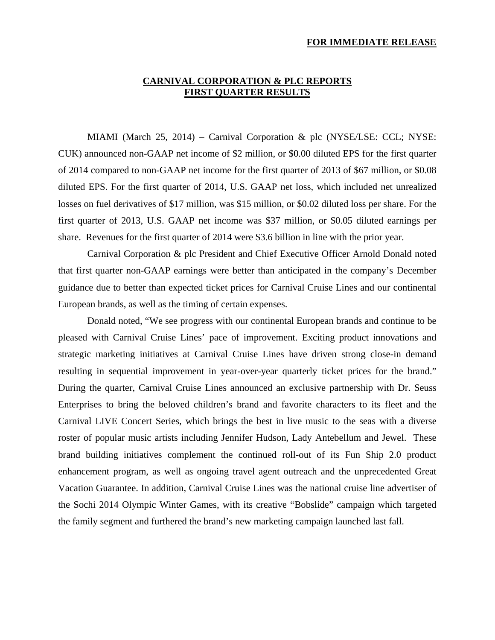#### **FOR IMMEDIATE RELEASE**

# **CARNIVAL CORPORATION & PLC REPORTS FIRST QUARTER RESULTS**

MIAMI (March 25, 2014) – Carnival Corporation & plc (NYSE/LSE: CCL; NYSE: CUK) announced non-GAAP net income of \$2 million, or \$0.00 diluted EPS for the first quarter of 2014 compared to non-GAAP net income for the first quarter of 2013 of \$67 million, or \$0.08 diluted EPS. For the first quarter of 2014, U.S. GAAP net loss, which included net unrealized losses on fuel derivatives of \$17 million, was \$15 million, or \$0.02 diluted loss per share. For the first quarter of 2013, U.S. GAAP net income was \$37 million, or \$0.05 diluted earnings per share. Revenues for the first quarter of 2014 were \$3.6 billion in line with the prior year.

Carnival Corporation & plc President and Chief Executive Officer Arnold Donald noted that first quarter non-GAAP earnings were better than anticipated in the company's December guidance due to better than expected ticket prices for Carnival Cruise Lines and our continental European brands, as well as the timing of certain expenses.

Donald noted, "We see progress with our continental European brands and continue to be pleased with Carnival Cruise Lines' pace of improvement. Exciting product innovations and strategic marketing initiatives at Carnival Cruise Lines have driven strong close-in demand resulting in sequential improvement in year-over-year quarterly ticket prices for the brand." During the quarter, Carnival Cruise Lines announced an exclusive partnership with Dr. Seuss Enterprises to bring the beloved children's brand and favorite characters to its fleet and the Carnival LIVE Concert Series, which brings the best in live music to the seas with a diverse roster of popular music artists including Jennifer Hudson, Lady Antebellum and Jewel. These brand building initiatives complement the continued roll-out of its Fun Ship 2.0 product enhancement program, as well as ongoing travel agent outreach and the unprecedented Great Vacation Guarantee. In addition, Carnival Cruise Lines was the national cruise line advertiser of the Sochi 2014 Olympic Winter Games, with its creative "Bobslide" campaign which targeted the family segment and furthered the brand's new marketing campaign launched last fall.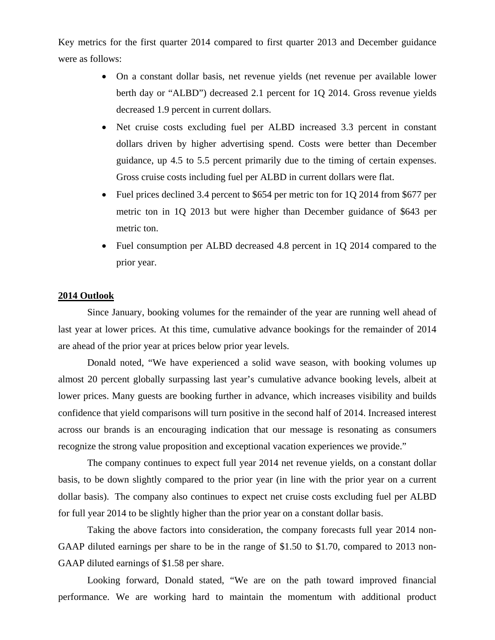Key metrics for the first quarter 2014 compared to first quarter 2013 and December guidance were as follows:

- On a constant dollar basis, net revenue yields (net revenue per available lower berth day or "ALBD") decreased 2.1 percent for 1Q 2014. Gross revenue yields decreased 1.9 percent in current dollars.
- Net cruise costs excluding fuel per ALBD increased 3.3 percent in constant dollars driven by higher advertising spend. Costs were better than December guidance, up 4.5 to 5.5 percent primarily due to the timing of certain expenses. Gross cruise costs including fuel per ALBD in current dollars were flat.
- Fuel prices declined 3.4 percent to \$654 per metric ton for 1Q 2014 from \$677 per metric ton in 1Q 2013 but were higher than December guidance of \$643 per metric ton.
- Fuel consumption per ALBD decreased 4.8 percent in 1Q 2014 compared to the prior year.

# **2014 Outlook**

Since January, booking volumes for the remainder of the year are running well ahead of last year at lower prices. At this time, cumulative advance bookings for the remainder of 2014 are ahead of the prior year at prices below prior year levels.

Donald noted, "We have experienced a solid wave season, with booking volumes up almost 20 percent globally surpassing last year's cumulative advance booking levels, albeit at lower prices. Many guests are booking further in advance, which increases visibility and builds confidence that yield comparisons will turn positive in the second half of 2014. Increased interest across our brands is an encouraging indication that our message is resonating as consumers recognize the strong value proposition and exceptional vacation experiences we provide."

The company continues to expect full year 2014 net revenue yields, on a constant dollar basis, to be down slightly compared to the prior year (in line with the prior year on a current dollar basis). The company also continues to expect net cruise costs excluding fuel per ALBD for full year 2014 to be slightly higher than the prior year on a constant dollar basis.

Taking the above factors into consideration, the company forecasts full year 2014 non-GAAP diluted earnings per share to be in the range of \$1.50 to \$1.70, compared to 2013 non-GAAP diluted earnings of \$1.58 per share.

Looking forward, Donald stated, "We are on the path toward improved financial performance. We are working hard to maintain the momentum with additional product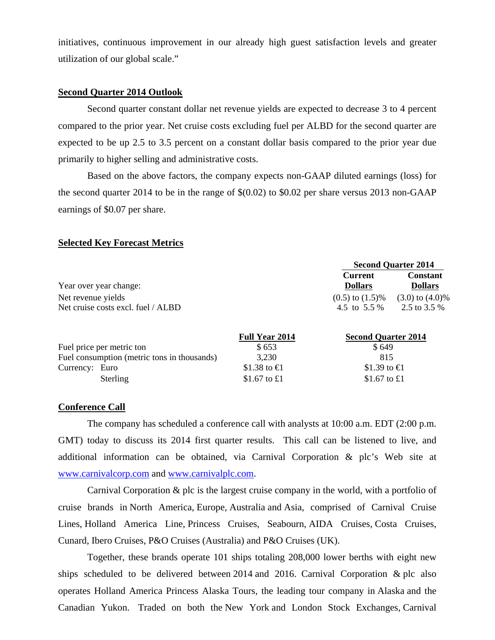initiatives, continuous improvement in our already high guest satisfaction levels and greater utilization of our global scale."

# **Second Quarter 2014 Outlook**

Second quarter constant dollar net revenue yields are expected to decrease 3 to 4 percent compared to the prior year. Net cruise costs excluding fuel per ALBD for the second quarter are expected to be up 2.5 to 3.5 percent on a constant dollar basis compared to the prior year due primarily to higher selling and administrative costs.

Based on the above factors, the company expects non-GAAP diluted earnings (loss) for the second quarter 2014 to be in the range of \$(0.02) to \$0.02 per share versus 2013 non-GAAP earnings of \$0.07 per share.

#### **Selected Key Forecast Metrics**

|                                    |                      | <b>Second Quarter 2014</b> |  |  |
|------------------------------------|----------------------|----------------------------|--|--|
|                                    | <b>Current</b>       | <b>Constant</b>            |  |  |
| Year over year change:             | <b>Dollars</b>       | <b>Dollars</b>             |  |  |
| Net revenue yields                 | $(0.5)$ to $(1.5)\%$ | $(3.0)$ to $(4.0)\%$       |  |  |
| Net cruise costs excl. fuel / ALBD | 4.5 to 5.5 %         | 2.5 to 3.5 %               |  |  |

|                |                                             | <b>Full Year 2014</b> | <b>Second Quarter 2014</b> |
|----------------|---------------------------------------------|-----------------------|----------------------------|
|                | Fuel price per metric ton                   | \$653                 | \$649                      |
|                | Fuel consumption (metric tons in thousands) | 3,230                 | 815                        |
| Currency: Euro |                                             | \$1.38 to €l          | \$1.39 to $\bigoplus$      |
|                | Sterling                                    | \$1.67 to £1          | \$1.67 to £1               |

#### **Conference Call**

The company has scheduled a conference call with analysts at 10:00 a.m. EDT (2:00 p.m. GMT) today to discuss its 2014 first quarter results. This call can be listened to live, and additional information can be obtained, via Carnival Corporation & plc's Web site at www.carnivalcorp.com and www.carnivalplc.com.

Carnival Corporation & plc is the largest cruise company in the world, with a portfolio of cruise brands in North America, Europe, Australia and Asia, comprised of Carnival Cruise Lines, Holland America Line, Princess Cruises, Seabourn, AIDA Cruises, Costa Cruises, Cunard, Ibero Cruises, P&O Cruises (Australia) and P&O Cruises (UK).

Together, these brands operate 101 ships totaling 208,000 lower berths with eight new ships scheduled to be delivered between 2014 and 2016. Carnival Corporation & plc also operates Holland America Princess Alaska Tours, the leading tour company in Alaska and the Canadian Yukon. Traded on both the New York and London Stock Exchanges, Carnival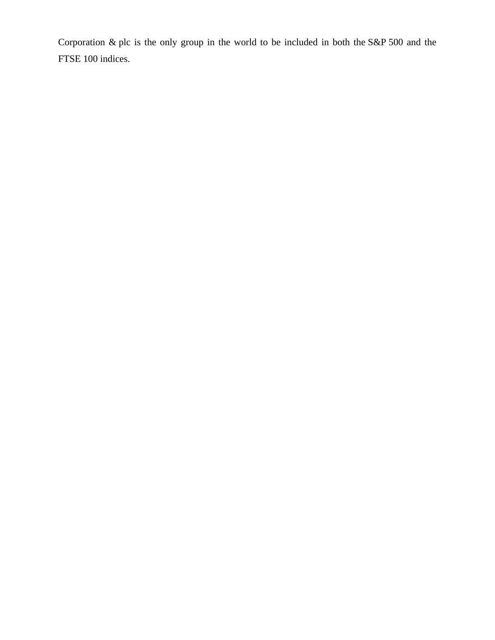Corporation & plc is the only group in the world to be included in both the S&P 500 and the FTSE 100 indices.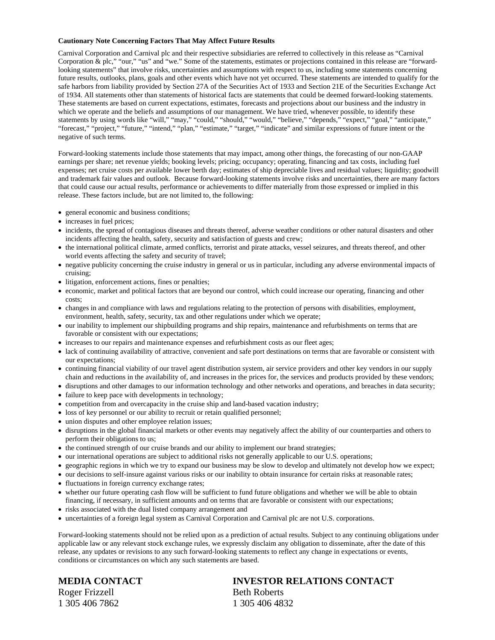#### **Cautionary Note Concerning Factors That May Affect Future Results**

Carnival Corporation and Carnival plc and their respective subsidiaries are referred to collectively in this release as "Carnival Corporation & plc," "our," "us" and "we." Some of the statements, estimates or projections contained in this release are "forwardlooking statements" that involve risks, uncertainties and assumptions with respect to us, including some statements concerning future results, outlooks, plans, goals and other events which have not yet occurred. These statements are intended to qualify for the safe harbors from liability provided by Section 27A of the Securities Act of 1933 and Section 21E of the Securities Exchange Act of 1934. All statements other than statements of historical facts are statements that could be deemed forward-looking statements. These statements are based on current expectations, estimates, forecasts and projections about our business and the industry in which we operate and the beliefs and assumptions of our management. We have tried, whenever possible, to identify these statements by using words like "will," "may," "could," "should," "would," "believe," "depends," "expect," "goal," "anticipate," "forecast," "project," "future," "intend," "plan," "estimate," "target," "indicate" and similar expressions of future intent or the negative of such terms.

Forward-looking statements include those statements that may impact, among other things, the forecasting of our non-GAAP earnings per share; net revenue yields; booking levels; pricing; occupancy; operating, financing and tax costs, including fuel expenses; net cruise costs per available lower berth day; estimates of ship depreciable lives and residual values; liquidity; goodwill and trademark fair values and outlook. Because forward-looking statements involve risks and uncertainties, there are many factors that could cause our actual results, performance or achievements to differ materially from those expressed or implied in this release. These factors include, but are not limited to, the following:

- general economic and business conditions;
- increases in fuel prices;
- incidents, the spread of contagious diseases and threats thereof, adverse weather conditions or other natural disasters and other incidents affecting the health, safety, security and satisfaction of guests and crew;
- the international political climate, armed conflicts, terrorist and pirate attacks, vessel seizures, and threats thereof, and other world events affecting the safety and security of travel;
- negative publicity concerning the cruise industry in general or us in particular, including any adverse environmental impacts of cruising;
- litigation, enforcement actions, fines or penalties;
- economic, market and political factors that are beyond our control, which could increase our operating, financing and other costs;
- changes in and compliance with laws and regulations relating to the protection of persons with disabilities, employment, environment, health, safety, security, tax and other regulations under which we operate;
- our inability to implement our shipbuilding programs and ship repairs, maintenance and refurbishments on terms that are favorable or consistent with our expectations;
- increases to our repairs and maintenance expenses and refurbishment costs as our fleet ages;
- lack of continuing availability of attractive, convenient and safe port destinations on terms that are favorable or consistent with our expectations;
- continuing financial viability of our travel agent distribution system, air service providers and other key vendors in our supply chain and reductions in the availability of, and increases in the prices for, the services and products provided by these vendors;
- disruptions and other damages to our information technology and other networks and operations, and breaches in data security;
- failure to keep pace with developments in technology;
- competition from and overcapacity in the cruise ship and land-based vacation industry;
- loss of key personnel or our ability to recruit or retain qualified personnel;
- union disputes and other employee relation issues;
- disruptions in the global financial markets or other events may negatively affect the ability of our counterparties and others to perform their obligations to us;
- the continued strength of our cruise brands and our ability to implement our brand strategies;
- our international operations are subject to additional risks not generally applicable to our U.S. operations;
- geographic regions in which we try to expand our business may be slow to develop and ultimately not develop how we expect;
- our decisions to self-insure against various risks or our inability to obtain insurance for certain risks at reasonable rates;
- fluctuations in foreign currency exchange rates;
- whether our future operating cash flow will be sufficient to fund future obligations and whether we will be able to obtain financing, if necessary, in sufficient amounts and on terms that are favorable or consistent with our expectations;
- risks associated with the dual listed company arrangement and
- uncertainties of a foreign legal system as Carnival Corporation and Carnival plc are not U.S. corporations.

Forward-looking statements should not be relied upon as a prediction of actual results. Subject to any continuing obligations under applicable law or any relevant stock exchange rules, we expressly disclaim any obligation to disseminate, after the date of this release, any updates or revisions to any such forward-looking statements to reflect any change in expectations or events, conditions or circumstances on which any such statements are based.

Roger Frizzell Beth Roberts 1 305 406 7862 1 305 406 4832

# **MEDIA CONTACT INVESTOR RELATIONS CONTACT**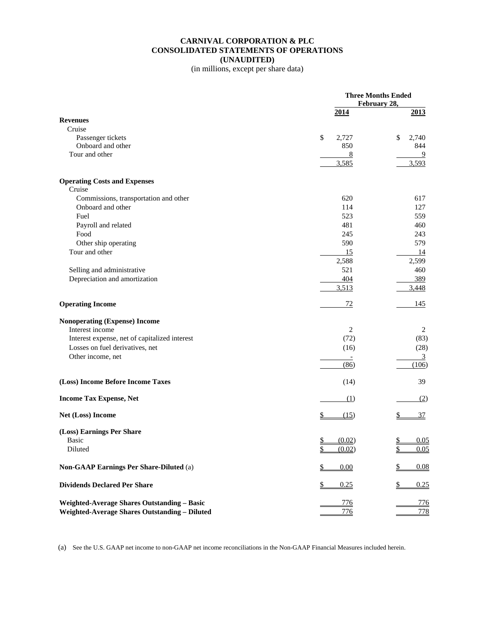#### **CARNIVAL CORPORATION & PLC CONSOLIDATED STATEMENTS OF OPERATIONS (UNAUDITED)**

(in millions, except per share data)

|                                                             | <b>Three Months Ended</b><br>February 28, |                         |
|-------------------------------------------------------------|-------------------------------------------|-------------------------|
|                                                             | 2014                                      | 2013                    |
| <b>Revenues</b>                                             |                                           |                         |
| Cruise<br>Passenger tickets                                 | \$<br>2,727                               | \$<br>2,740             |
| Onboard and other                                           | 850                                       | 844                     |
| Tour and other                                              | 8                                         | 9                       |
|                                                             | 3,585                                     | 3,593                   |
| <b>Operating Costs and Expenses</b>                         |                                           |                         |
| Cruise                                                      |                                           |                         |
| Commissions, transportation and other                       | 620                                       | 617                     |
| Onboard and other                                           | 114                                       | 127                     |
| Fuel                                                        | 523                                       | 559                     |
| Payroll and related                                         | 481                                       | 460                     |
| Food                                                        | 245                                       | 243                     |
| Other ship operating                                        | 590                                       | 579                     |
| Tour and other                                              | 15                                        | 14                      |
|                                                             | 2,588<br>521                              | 2,599<br>460            |
| Selling and administrative<br>Depreciation and amortization | 404                                       | 389                     |
|                                                             | 3,513                                     | 3,448                   |
| <b>Operating Income</b>                                     | 72                                        | 145                     |
| <b>Nonoperating (Expense) Income</b>                        |                                           |                         |
| Interest income                                             | 2                                         | $\overline{2}$          |
| Interest expense, net of capitalized interest               | (72)                                      | (83)                    |
| Losses on fuel derivatives, net                             | (16)                                      | (28)                    |
| Other income, net                                           | (86)                                      | $\overline{3}$<br>(106) |
| (Loss) Income Before Income Taxes                           | (14)                                      | 39                      |
|                                                             |                                           |                         |
| <b>Income Tax Expense, Net</b>                              | (1)                                       | (2)                     |
| Net (Loss) Income                                           | (15)                                      | \$<br>37                |
| (Loss) Earnings Per Share                                   |                                           |                         |
| <b>Basic</b>                                                | (0.02)                                    | <u>\$</u><br>0.05       |
| Diluted                                                     | \$<br>(0.02)                              | \$<br>0.05              |
| <b>Non-GAAP Earnings Per Share-Diluted (a)</b>              | 0.00                                      | <u>\$</u><br>0.08       |
| <b>Dividends Declared Per Share</b>                         | 0.25                                      | <u>\$</u><br>0.25       |
| <b>Weighted-Average Shares Outstanding - Basic</b>          | 776                                       | 776                     |
| Weighted-Average Shares Outstanding - Diluted               | 776                                       | 778                     |

(a) See the U.S. GAAP net income to non-GAAP net income reconciliations in the Non-GAAP Financial Measures included herein.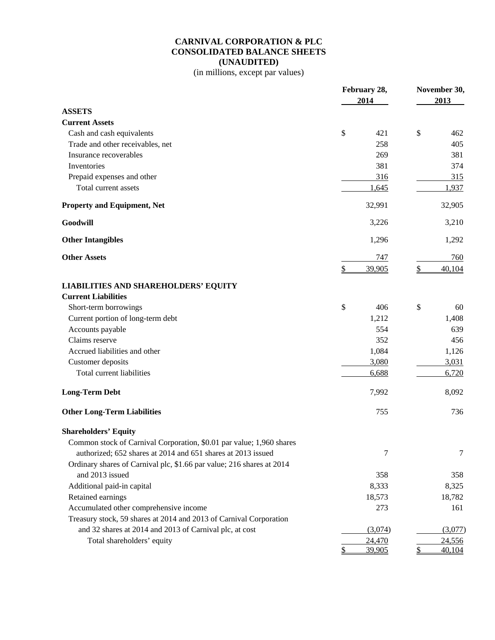# **CARNIVAL CORPORATION & PLC CONSOLIDATED BALANCE SHEETS (UNAUDITED)**

(in millions, except par values)

|                                                                           | February 28,<br>2014 | November 30,<br>2013 |
|---------------------------------------------------------------------------|----------------------|----------------------|
| <b>ASSETS</b>                                                             |                      |                      |
| <b>Current Assets</b>                                                     |                      |                      |
| Cash and cash equivalents                                                 | \$<br>421            | \$<br>462            |
| Trade and other receivables, net                                          | 258                  | 405                  |
| Insurance recoverables                                                    | 269                  | 381                  |
| Inventories                                                               | 381                  | 374                  |
| Prepaid expenses and other                                                | 316                  | 315                  |
| Total current assets                                                      | 1,645                | 1,937                |
| <b>Property and Equipment, Net</b>                                        | 32,991               | 32,905               |
| Goodwill                                                                  | 3,226                | 3,210                |
| <b>Other Intangibles</b>                                                  | 1,296                | 1,292                |
| <b>Other Assets</b>                                                       | 747                  | 760                  |
|                                                                           | \$<br>39,905         | \$<br>40,104         |
| <b>LIABILITIES AND SHAREHOLDERS' EQUITY</b><br><b>Current Liabilities</b> |                      |                      |
| Short-term borrowings                                                     | \$<br>406            | \$<br>60             |
| Current portion of long-term debt                                         | 1,212                | 1,408                |
| Accounts payable                                                          | 554                  | 639                  |
| Claims reserve                                                            | 352                  | 456                  |
| Accrued liabilities and other                                             | 1,084                | 1,126                |
| Customer deposits                                                         | 3,080                | 3,031                |
| Total current liabilities                                                 | 6,688                | 6,720                |
| <b>Long-Term Debt</b>                                                     | 7,992                | 8,092                |
| <b>Other Long-Term Liabilities</b>                                        | 755                  | 736                  |
| <b>Shareholders' Equity</b>                                               |                      |                      |
| Common stock of Carnival Corporation, \$0.01 par value; 1,960 shares      |                      |                      |
| authorized; 652 shares at 2014 and 651 shares at 2013 issued              | 7                    | 7                    |
| Ordinary shares of Carnival plc, \$1.66 par value; 216 shares at 2014     |                      |                      |
| and 2013 issued                                                           | 358                  | 358                  |
| Additional paid-in capital                                                | 8,333                | 8,325                |
| Retained earnings                                                         | 18,573               | 18,782               |
| Accumulated other comprehensive income                                    | 273                  | 161                  |
| Treasury stock, 59 shares at 2014 and 2013 of Carnival Corporation        |                      |                      |
| and 32 shares at 2014 and 2013 of Carnival plc, at cost                   | (3,074)              | (3,077)              |
| Total shareholders' equity                                                | 24,470               | 24,556               |
|                                                                           | 39,905               | 40,104               |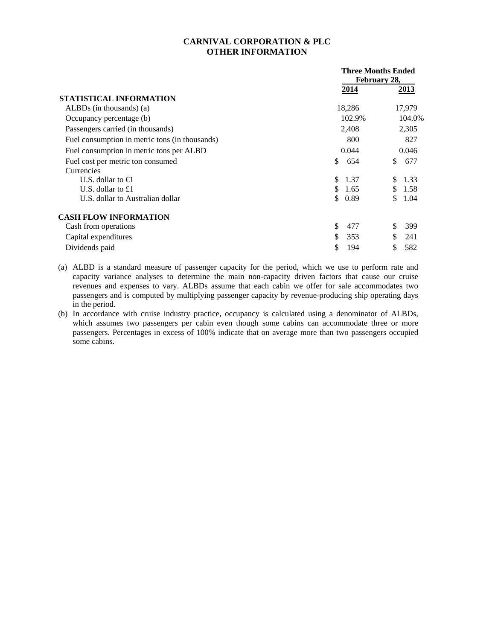#### **CARNIVAL CORPORATION & PLC OTHER INFORMATION**

|                                                | <b>Three Months Ended</b> |            |  |
|------------------------------------------------|---------------------------|------------|--|
|                                                | February 28,              |            |  |
|                                                | <u>2014</u>               | 2013       |  |
| <b>STATISTICAL INFORMATION</b>                 |                           |            |  |
| $ALBDs$ (in thousands) (a)                     | 18,286                    | 17,979     |  |
| Occupancy percentage (b)                       | 102.9%                    | 104.0%     |  |
| Passengers carried (in thousands)              | 2,408                     | 2,305      |  |
| Fuel consumption in metric tons (in thousands) | 800                       | 827        |  |
| Fuel consumption in metric tons per ALBD       | 0.044                     | 0.046      |  |
| Fuel cost per metric ton consumed              | \$.<br>654                | \$<br>677  |  |
| Currencies                                     |                           |            |  |
| U.S. dollar to $\bigoplus$                     | \$.<br>1.37               | \$<br>1.33 |  |
| U.S. dollar to $\pounds 1$                     | 1.65<br>S.                | 1.58<br>S  |  |
| U.S. dollar to Australian dollar               | 0.89<br>S                 | 1.04<br>\$ |  |
| <b>CASH FLOW INFORMATION</b>                   |                           |            |  |
| Cash from operations                           | \$<br>477                 | \$<br>399  |  |
| Capital expenditures                           | \$<br>353                 | \$<br>241  |  |
| Dividends paid                                 | \$<br>194                 | \$<br>582  |  |

(a) ALBD is a standard measure of passenger capacity for the period, which we use to perform rate and capacity variance analyses to determine the main non-capacity driven factors that cause our cruise revenues and expenses to vary. ALBDs assume that each cabin we offer for sale accommodates two passengers and is computed by multiplying passenger capacity by revenue-producing ship operating days in the period.

(b) In accordance with cruise industry practice, occupancy is calculated using a denominator of ALBDs, which assumes two passengers per cabin even though some cabins can accommodate three or more passengers. Percentages in excess of 100% indicate that on average more than two passengers occupied some cabins.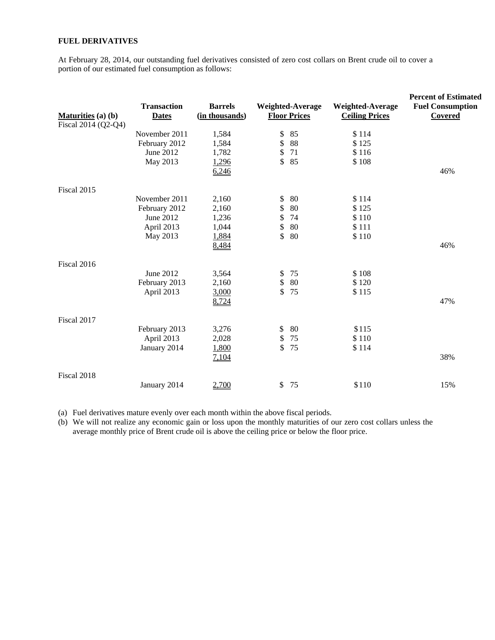#### **FUEL DERIVATIVES**

At February 28, 2014, our outstanding fuel derivatives consisted of zero cost collars on Brent crude oil to cover a portion of our estimated fuel consumption as follows:

| <b>Maturities</b> (a) (b)<br>Fiscal 2014 (Q2-Q4) | <b>Transaction</b><br><b>Dates</b> | <b>Barrels</b><br>(in thousands) | <b>Weighted-Average</b><br><b>Floor Prices</b> |    | Weighted-Average<br><b>Ceiling Prices</b> | <b>Percent of Estimated</b><br><b>Fuel Consumption</b><br>Covered |
|--------------------------------------------------|------------------------------------|----------------------------------|------------------------------------------------|----|-------------------------------------------|-------------------------------------------------------------------|
|                                                  | November 2011                      | 1,584                            | \$                                             | 85 | \$114                                     |                                                                   |
|                                                  | February 2012                      | 1,584                            | \$                                             | 88 | \$125                                     |                                                                   |
|                                                  | June 2012                          | 1,782                            | \$                                             | 71 | \$116                                     |                                                                   |
|                                                  | May 2013                           | 1,296                            | \$                                             | 85 | \$108                                     |                                                                   |
|                                                  |                                    | 6,246                            |                                                |    |                                           | 46%                                                               |
| Fiscal 2015                                      |                                    |                                  |                                                |    |                                           |                                                                   |
|                                                  | November 2011                      | 2,160                            | \$                                             | 80 | \$114                                     |                                                                   |
|                                                  | February 2012                      | 2,160                            | \$                                             | 80 | \$125                                     |                                                                   |
|                                                  | June 2012                          | 1,236                            | \$                                             | 74 | \$110                                     |                                                                   |
|                                                  | April 2013                         | 1,044                            | \$                                             | 80 | \$111                                     |                                                                   |
|                                                  | May 2013                           | 1,884                            | \$                                             | 80 | \$110                                     |                                                                   |
|                                                  |                                    | 8,484                            |                                                |    |                                           | 46%                                                               |
| Fiscal 2016                                      |                                    |                                  |                                                |    |                                           |                                                                   |
|                                                  | June 2012                          | 3,564                            | \$                                             | 75 | \$108                                     |                                                                   |
|                                                  | February 2013                      | 2,160                            | \$                                             | 80 | \$120                                     |                                                                   |
|                                                  | April 2013                         | 3,000                            | \$                                             | 75 | \$115                                     |                                                                   |
|                                                  |                                    | 8,724                            |                                                |    |                                           | 47%                                                               |
| Fiscal 2017                                      |                                    |                                  |                                                |    |                                           |                                                                   |
|                                                  | February 2013                      | 3,276                            | \$                                             | 80 | \$115                                     |                                                                   |
|                                                  | April 2013                         | 2,028                            | \$                                             | 75 | \$110                                     |                                                                   |
|                                                  | January 2014                       | 1,800                            | \$                                             | 75 | \$114                                     |                                                                   |
|                                                  |                                    | 7,104                            |                                                |    |                                           | 38%                                                               |
| Fiscal 2018                                      |                                    |                                  |                                                |    |                                           |                                                                   |
|                                                  | January 2014                       | 2,700                            | \$                                             | 75 | \$110                                     | 15%                                                               |

(a) Fuel derivatives mature evenly over each month within the above fiscal periods.

(b) We will not realize any economic gain or loss upon the monthly maturities of our zero cost collars unless the average monthly price of Brent crude oil is above the ceiling price or below the floor price.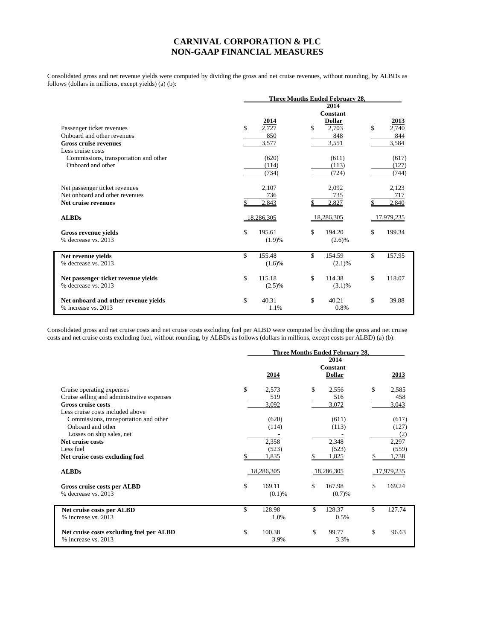# **CARNIVAL CORPORATION & PLC NON-GAAP FINANCIAL MEASURES**

Consolidated gross and net revenue yields were computed by dividing the gross and net cruise revenues, without rounding, by ALBDs as follows (dollars in millions, except yields) (a) (b):

|                                                         |                            | <b>Three Months Ended February 28,</b> |                     |
|---------------------------------------------------------|----------------------------|----------------------------------------|---------------------|
|                                                         |                            | 2014                                   |                     |
|                                                         |                            | Constant                               |                     |
|                                                         | \$<br><u>2014</u><br>2,727 | \$<br><b>Dollar</b>                    | \$<br>2013<br>2,740 |
| Passenger ticket revenues<br>Onboard and other revenues | 850                        | 2,703<br>848                           | 844                 |
| <b>Gross cruise revenues</b>                            | 3,577                      | 3,551                                  | 3,584               |
| Less cruise costs                                       |                            |                                        |                     |
| Commissions, transportation and other                   | (620)                      | (611)                                  | (617)               |
| Onboard and other                                       | (114)                      | (113)                                  | (127)               |
|                                                         | (734)                      | (724)                                  | (744)               |
|                                                         |                            |                                        |                     |
| Net passenger ticket revenues                           | 2,107                      | 2,092                                  | 2,123               |
| Net onboard and other revenues<br>Net cruise revenues   | 736                        | 735                                    | 717                 |
|                                                         | 2,843                      | 2,827                                  | 2,840               |
| <b>ALBDs</b>                                            | 18,286,305                 | 18,286,305                             | 17,979,235          |
| Gross revenue yields                                    | \$<br>195.61               | \$<br>194.20                           | \$<br>199.34        |
| % decrease vs. 2013                                     | (1.9)%                     | (2.6)%                                 |                     |
|                                                         |                            |                                        |                     |
| Net revenue yields                                      | \$<br>155.48               | \$<br>154.59                           | \$<br>157.95        |
| % decrease vs. 2013                                     | (1.6)%                     | (2.1)%                                 |                     |
| Net passenger ticket revenue yields                     | \$<br>115.18               | \$<br>114.38                           | \$<br>118.07        |
| % decrease vs. 2013                                     | $(2.5)\%$                  | $(3.1)\%$                              |                     |
|                                                         |                            |                                        |                     |
| Net onboard and other revenue yields                    | \$<br>40.31                | \$<br>40.21                            | \$<br>39.88         |
| % increase vs. 2013                                     | 1.1%                       | 0.8%                                   |                     |

Consolidated gross and net cruise costs and net cruise costs excluding fuel per ALBD were computed by dividing the gross and net cruise costs and net cruise costs excluding fuel, without rounding, by ALBDs as follows (dollars in millions, except costs per ALBD) (a) (b):

|                                                                                                                                                                                                 |                                           | Three Months Ended February 28,<br>2014   |                                                  |
|-------------------------------------------------------------------------------------------------------------------------------------------------------------------------------------------------|-------------------------------------------|-------------------------------------------|--------------------------------------------------|
|                                                                                                                                                                                                 | 2014                                      | Constant<br><b>Dollar</b>                 | 2013                                             |
| Cruise operating expenses<br>Cruise selling and administrative expenses<br><b>Gross cruise costs</b>                                                                                            | \$<br>2,573<br>519<br>3,092               | \$<br>2,556<br>516<br>3,072               | \$<br>2,585<br>458<br>3,043                      |
| Less cruise costs included above<br>Commissions, transportation and other<br>Onboard and other<br>Losses on ship sales, net<br>Net cruise costs<br>Less fuel<br>Net cruise costs excluding fuel | (620)<br>(114)<br>2,358<br>(523)<br>1,835 | (611)<br>(113)<br>2,348<br>(523)<br>1,825 | (617)<br>(127)<br>(2)<br>2,297<br>(559)<br>1,738 |
| <b>ALBDs</b>                                                                                                                                                                                    | 18,286,305                                | 18,286,305                                | 17,979,235                                       |
| Gross cruise costs per ALBD<br>% decrease vs. 2013                                                                                                                                              | \$<br>169.11<br>$(0.1)$ %                 | \$<br>167.98<br>(0.7)%                    | \$<br>169.24                                     |
| Net cruise costs per ALBD<br>% increase vs. 2013                                                                                                                                                | \$<br>128.98<br>1.0%                      | \$<br>128.37<br>0.5%                      | \$<br>127.74                                     |
| Net cruise costs excluding fuel per ALBD<br>% increase vs. 2013                                                                                                                                 | \$<br>100.38<br>3.9%                      | \$<br>99.77<br>3.3%                       | \$<br>96.63                                      |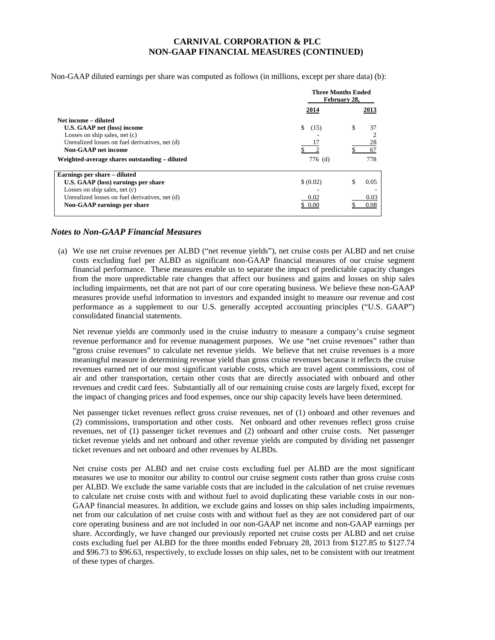#### **CARNIVAL CORPORATION & PLC NON-GAAP FINANCIAL MEASURES (CONTINUED)**

Non-GAAP diluted earnings per share was computed as follows (in millions, except per share data) (b):

|                                                | <b>Three Months Ended</b><br>February 28, |            |  |
|------------------------------------------------|-------------------------------------------|------------|--|
|                                                | 2014                                      | 2013       |  |
| Net income – diluted                           |                                           |            |  |
| <b>U.S. GAAP net (loss) income</b>             | \$<br>(15)                                | \$<br>37   |  |
| Losses on ship sales, net $(c)$                |                                           |            |  |
| Unrealized losses on fuel derivatives, net (d) | 17                                        | 28         |  |
| <b>Non-GAAP</b> net income                     |                                           | 67         |  |
| Weighted-average shares outstanding – diluted  | $776$ (d)                                 | 778        |  |
| Earnings per share – diluted                   |                                           |            |  |
| U.S. GAAP (loss) earnings per share            | \$ (0.02)                                 | \$<br>0.05 |  |
| Losses on ship sales, net $(c)$                |                                           |            |  |
| Unrealized losses on fuel derivatives, net (d) | 0.02                                      | 0.03       |  |
| Non-GAAP earnings per share                    | \$ 0.00                                   | 0.08       |  |

#### *Notes to Non-GAAP Financial Measures*

(a) We use net cruise revenues per ALBD ("net revenue yields"), net cruise costs per ALBD and net cruise costs excluding fuel per ALBD as significant non-GAAP financial measures of our cruise segment financial performance. These measures enable us to separate the impact of predictable capacity changes from the more unpredictable rate changes that affect our business and gains and losses on ship sales including impairments, net that are not part of our core operating business. We believe these non-GAAP measures provide useful information to investors and expanded insight to measure our revenue and cost performance as a supplement to our U.S. generally accepted accounting principles ("U.S. GAAP") consolidated financial statements.

Net revenue yields are commonly used in the cruise industry to measure a company's cruise segment revenue performance and for revenue management purposes. We use "net cruise revenues" rather than "gross cruise revenues" to calculate net revenue yields. We believe that net cruise revenues is a more meaningful measure in determining revenue yield than gross cruise revenues because it reflects the cruise revenues earned net of our most significant variable costs, which are travel agent commissions, cost of air and other transportation, certain other costs that are directly associated with onboard and other revenues and credit card fees. Substantially all of our remaining cruise costs are largely fixed, except for the impact of changing prices and food expenses, once our ship capacity levels have been determined.

Net passenger ticket revenues reflect gross cruise revenues, net of (1) onboard and other revenues and (2) commissions, transportation and other costs. Net onboard and other revenues reflect gross cruise revenues, net of (1) passenger ticket revenues and (2) onboard and other cruise costs. Net passenger ticket revenue yields and net onboard and other revenue yields are computed by dividing net passenger ticket revenues and net onboard and other revenues by ALBDs.

Net cruise costs per ALBD and net cruise costs excluding fuel per ALBD are the most significant measures we use to monitor our ability to control our cruise segment costs rather than gross cruise costs per ALBD. We exclude the same variable costs that are included in the calculation of net cruise revenues to calculate net cruise costs with and without fuel to avoid duplicating these variable costs in our non-GAAP financial measures. In addition, we exclude gains and losses on ship sales including impairments, net from our calculation of net cruise costs with and without fuel as they are not considered part of our core operating business and are not included in our non-GAAP net income and non-GAAP earnings per share. Accordingly, we have changed our previously reported net cruise costs per ALBD and net cruise costs excluding fuel per ALBD for the three months ended February 28, 2013 from \$127.85 to \$127.74 and \$96.73 to \$96.63, respectively, to exclude losses on ship sales, net to be consistent with our treatment of these types of charges.